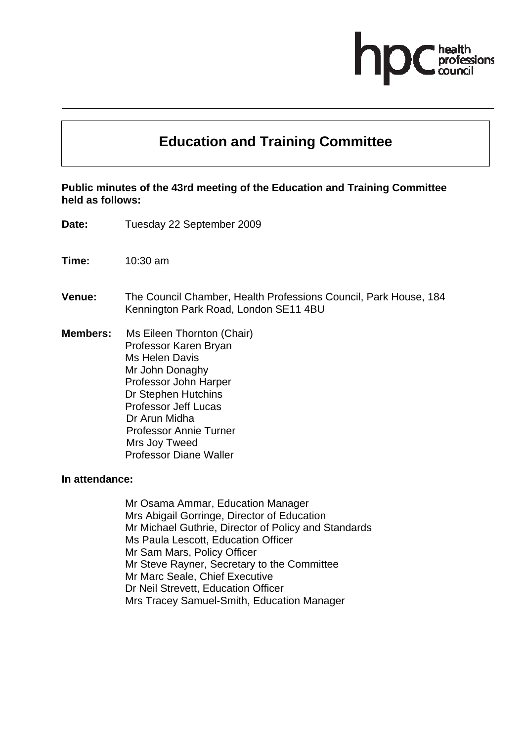# **Education and Training Committee**

#### **Public minutes of the 43rd meeting of the Education and Training Committee held as follows:**

- **Date:** Tuesday 22 September 2009
- **Time:** 10:30 am
- **Venue:** The Council Chamber, Health Professions Council, Park House, 184 Kennington Park Road, London SE11 4BU
- **Members:** Ms Eileen Thornton (Chair) Professor Karen Bryan Ms Helen Davis Mr John Donaghy Professor John Harper Dr Stephen Hutchins Professor Jeff Lucas Dr Arun Midha Professor Annie Turner Mrs Joy Tweed Professor Diane Waller

#### **In attendance:**

Mr Osama Ammar, Education Manager Mrs Abigail Gorringe, Director of Education Mr Michael Guthrie, Director of Policy and Standards Ms Paula Lescott, Education Officer Mr Sam Mars, Policy Officer Mr Steve Rayner, Secretary to the Committee Mr Marc Seale, Chief Executive Dr Neil Strevett, Education Officer Mrs Tracey Samuel-Smith, Education Manager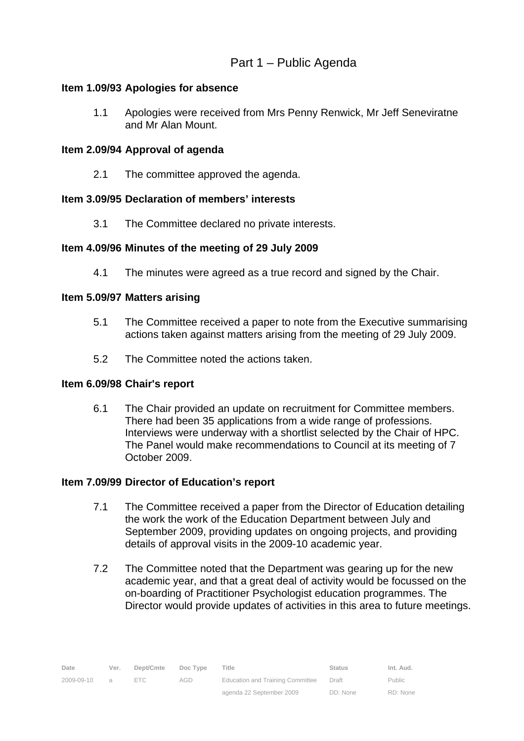#### **Item 1.09/93 Apologies for absence**

1.1 Apologies were received from Mrs Penny Renwick, Mr Jeff Seneviratne and Mr Alan Mount.

### **Item 2.09/94 Approval of agenda**

2.1 The committee approved the agenda.

### **Item 3.09/95 Declaration of members' interests**

3.1 The Committee declared no private interests.

### **Item 4.09/96 Minutes of the meeting of 29 July 2009**

4.1 The minutes were agreed as a true record and signed by the Chair.

### **Item 5.09/97 Matters arising**

- 5.1 The Committee received a paper to note from the Executive summarising actions taken against matters arising from the meeting of 29 July 2009.
- 5.2 The Committee noted the actions taken.

#### **Item 6.09/98 Chair's report**

6.1 The Chair provided an update on recruitment for Committee members. There had been 35 applications from a wide range of professions. Interviews were underway with a shortlist selected by the Chair of HPC. The Panel would make recommendations to Council at its meeting of 7 October 2009.

#### **Item 7.09/99 Director of Education's report**

- 7.1 The Committee received a paper from the Director of Education detailing the work the work of the Education Department between July and September 2009, providing updates on ongoing projects, and providing details of approval visits in the 2009-10 academic year.
- 7.2 The Committee noted that the Department was gearing up for the new academic year, and that a great deal of activity would be focussed on the on-boarding of Practitioner Psychologist education programmes. The Director would provide updates of activities in this area to future meetings.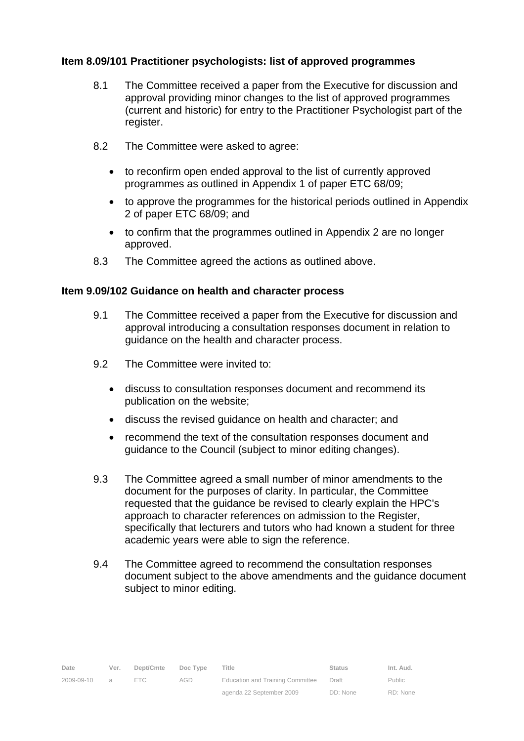### **Item 8.09/101 Practitioner psychologists: list of approved programmes**

- 8.1 The Committee received a paper from the Executive for discussion and approval providing minor changes to the list of approved programmes (current and historic) for entry to the Practitioner Psychologist part of the register.
- 8.2 The Committee were asked to agree:
	- to reconfirm open ended approval to the list of currently approved programmes as outlined in Appendix 1 of paper ETC 68/09;
	- to approve the programmes for the historical periods outlined in Appendix 2 of paper ETC 68/09; and
	- to confirm that the programmes outlined in Appendix 2 are no longer approved.
- 8.3 The Committee agreed the actions as outlined above.

#### **Item 9.09/102 Guidance on health and character process**

- 9.1 The Committee received a paper from the Executive for discussion and approval introducing a consultation responses document in relation to guidance on the health and character process.
- 9.2 The Committee were invited to:
	- discuss to consultation responses document and recommend its publication on the website;
	- discuss the revised guidance on health and character; and
	- recommend the text of the consultation responses document and guidance to the Council (subject to minor editing changes).
- 9.3 The Committee agreed a small number of minor amendments to the document for the purposes of clarity. In particular, the Committee requested that the guidance be revised to clearly explain the HPC's approach to character references on admission to the Register, specifically that lecturers and tutors who had known a student for three academic years were able to sign the reference.
- 9.4 The Committee agreed to recommend the consultation responses document subject to the above amendments and the guidance document subject to minor editing.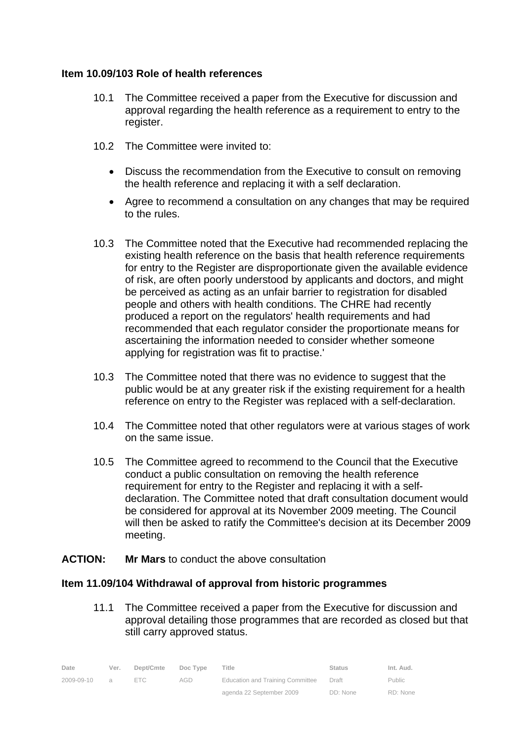#### **Item 10.09/103 Role of health references**

- 10.1 The Committee received a paper from the Executive for discussion and approval regarding the health reference as a requirement to entry to the register.
- 10.2 The Committee were invited to:
	- Discuss the recommendation from the Executive to consult on removing the health reference and replacing it with a self declaration.
	- Agree to recommend a consultation on any changes that may be required to the rules.
- 10.3 The Committee noted that the Executive had recommended replacing the existing health reference on the basis that health reference requirements for entry to the Register are disproportionate given the available evidence of risk, are often poorly understood by applicants and doctors, and might be perceived as acting as an unfair barrier to registration for disabled people and others with health conditions. The CHRE had recently produced a report on the regulators' health requirements and had recommended that each regulator consider the proportionate means for ascertaining the information needed to consider whether someone applying for registration was fit to practise.'
- 10.3 The Committee noted that there was no evidence to suggest that the public would be at any greater risk if the existing requirement for a health reference on entry to the Register was replaced with a self-declaration.
- 10.4 The Committee noted that other regulators were at various stages of work on the same issue.
- 10.5 The Committee agreed to recommend to the Council that the Executive conduct a public consultation on removing the health reference requirement for entry to the Register and replacing it with a selfdeclaration. The Committee noted that draft consultation document would be considered for approval at its November 2009 meeting. The Council will then be asked to ratify the Committee's decision at its December 2009 meeting.
- **ACTION: Mr Mars** to conduct the above consultation

#### **Item 11.09/104 Withdrawal of approval from historic programmes**

11.1 The Committee received a paper from the Executive for discussion and approval detailing those programmes that are recorded as closed but that still carry approved status.

| Date         | Ver. | Dept/Cmte  | Doc Type | Title                                   | Status   | Int. Aud.     |
|--------------|------|------------|----------|-----------------------------------------|----------|---------------|
| 2009-09-10 a |      | $=$ $\Box$ | AGD.     | <b>Education and Training Committee</b> | Draft    | <b>Public</b> |
|              |      |            |          | agenda 22 September 2009                | DD: None | RD: None      |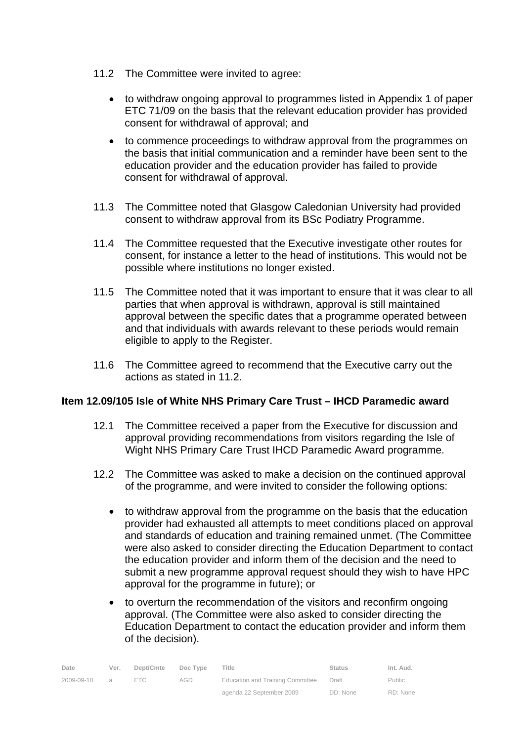- 11.2 The Committee were invited to agree:
	- to withdraw ongoing approval to programmes listed in Appendix 1 of paper ETC 71/09 on the basis that the relevant education provider has provided consent for withdrawal of approval; and
	- to commence proceedings to withdraw approval from the programmes on the basis that initial communication and a reminder have been sent to the education provider and the education provider has failed to provide consent for withdrawal of approval.
- 11.3 The Committee noted that Glasgow Caledonian University had provided consent to withdraw approval from its BSc Podiatry Programme.
- 11.4 The Committee requested that the Executive investigate other routes for consent, for instance a letter to the head of institutions. This would not be possible where institutions no longer existed.
- 11.5 The Committee noted that it was important to ensure that it was clear to all parties that when approval is withdrawn, approval is still maintained approval between the specific dates that a programme operated between and that individuals with awards relevant to these periods would remain eligible to apply to the Register.
- 11.6 The Committee agreed to recommend that the Executive carry out the actions as stated in 11.2.

#### **Item 12.09/105 Isle of White NHS Primary Care Trust – IHCD Paramedic award**

- 12.1 The Committee received a paper from the Executive for discussion and approval providing recommendations from visitors regarding the Isle of Wight NHS Primary Care Trust IHCD Paramedic Award programme.
- 12.2 The Committee was asked to make a decision on the continued approval of the programme, and were invited to consider the following options:
	- to withdraw approval from the programme on the basis that the education provider had exhausted all attempts to meet conditions placed on approval and standards of education and training remained unmet. (The Committee were also asked to consider directing the Education Department to contact the education provider and inform them of the decision and the need to submit a new programme approval request should they wish to have HPC approval for the programme in future); or
	- to overturn the recommendation of the visitors and reconfirm ongoing approval. (The Committee were also asked to consider directing the Education Department to contact the education provider and inform them of the decision).

| Date       | Ver.           | Dept/Cmte  | Doc Type | Title                            | Status   | Int. Aud.     |
|------------|----------------|------------|----------|----------------------------------|----------|---------------|
| 2009-09-10 | $\overline{a}$ | $=$ $\Box$ | AGD      | Education and Training Committee | Draft    | <b>Public</b> |
|            |                |            |          | agenda 22 September 2009         | DD: None | RD: None      |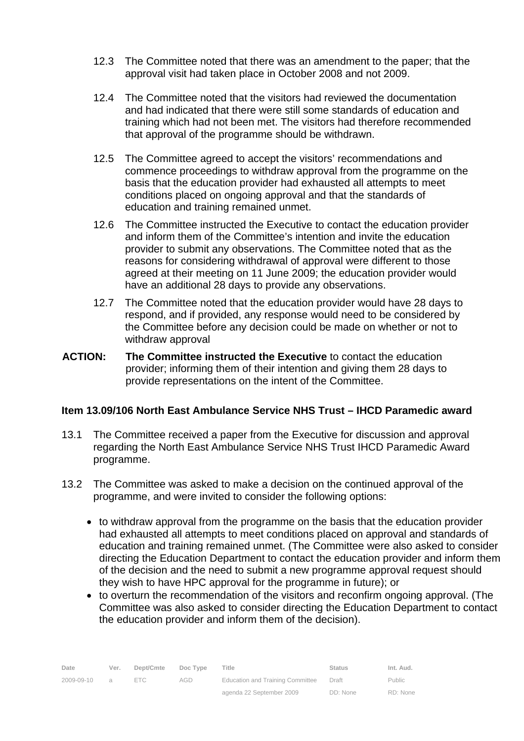- 12.3 The Committee noted that there was an amendment to the paper; that the approval visit had taken place in October 2008 and not 2009.
- 12.4 The Committee noted that the visitors had reviewed the documentation and had indicated that there were still some standards of education and training which had not been met. The visitors had therefore recommended that approval of the programme should be withdrawn.
- 12.5 The Committee agreed to accept the visitors' recommendations and commence proceedings to withdraw approval from the programme on the basis that the education provider had exhausted all attempts to meet conditions placed on ongoing approval and that the standards of education and training remained unmet.
- 12.6 The Committee instructed the Executive to contact the education provider and inform them of the Committee's intention and invite the education provider to submit any observations. The Committee noted that as the reasons for considering withdrawal of approval were different to those agreed at their meeting on 11 June 2009; the education provider would have an additional 28 days to provide any observations.
- 12.7 The Committee noted that the education provider would have 28 days to respond, and if provided, any response would need to be considered by the Committee before any decision could be made on whether or not to withdraw approval
- **ACTION: The Committee instructed the Executive** to contact the education provider; informing them of their intention and giving them 28 days to provide representations on the intent of the Committee.

#### **Item 13.09/106 North East Ambulance Service NHS Trust – IHCD Paramedic award**

- 13.1 The Committee received a paper from the Executive for discussion and approval regarding the North East Ambulance Service NHS Trust IHCD Paramedic Award programme.
- 13.2 The Committee was asked to make a decision on the continued approval of the programme, and were invited to consider the following options:
	- to withdraw approval from the programme on the basis that the education provider had exhausted all attempts to meet conditions placed on approval and standards of education and training remained unmet. (The Committee were also asked to consider directing the Education Department to contact the education provider and inform them of the decision and the need to submit a new programme approval request should they wish to have HPC approval for the programme in future); or
	- to overturn the recommendation of the visitors and reconfirm ongoing approval. (The Committee was also asked to consider directing the Education Department to contact the education provider and inform them of the decision).

| Date       | Ver.           | Dept/Cmte | Doc Type | Title                            | <b>Status</b> | Int. Aud. |
|------------|----------------|-----------|----------|----------------------------------|---------------|-----------|
| 2009-09-10 | $\overline{a}$ |           | AGD      | Education and Training Committee | Draft         | Public    |
|            |                |           |          | agenda 22 September 2009         | DD: None      | RD: None  |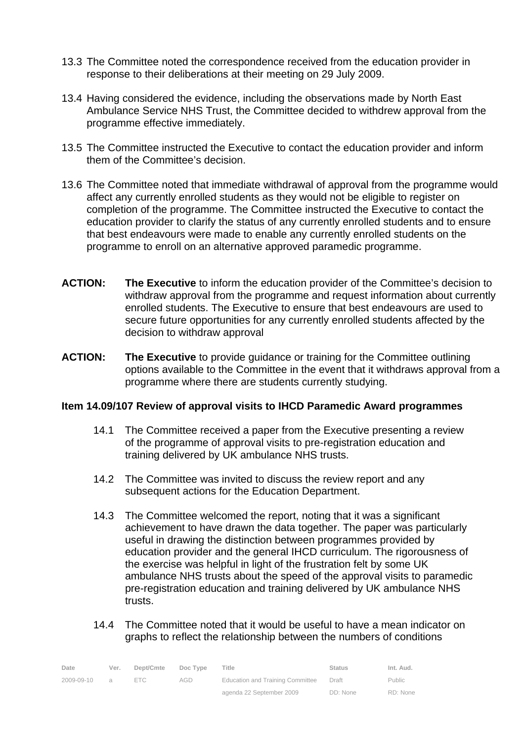- 13.3 The Committee noted the correspondence received from the education provider in response to their deliberations at their meeting on 29 July 2009.
- 13.4 Having considered the evidence, including the observations made by North East Ambulance Service NHS Trust, the Committee decided to withdrew approval from the programme effective immediately.
- 13.5 The Committee instructed the Executive to contact the education provider and inform them of the Committee's decision.
- 13.6 The Committee noted that immediate withdrawal of approval from the programme would affect any currently enrolled students as they would not be eligible to register on completion of the programme. The Committee instructed the Executive to contact the education provider to clarify the status of any currently enrolled students and to ensure that best endeavours were made to enable any currently enrolled students on the programme to enroll on an alternative approved paramedic programme.
- **ACTION: The Executive** to inform the education provider of the Committee's decision to withdraw approval from the programme and request information about currently enrolled students. The Executive to ensure that best endeavours are used to secure future opportunities for any currently enrolled students affected by the decision to withdraw approval
- **ACTION: The Executive** to provide guidance or training for the Committee outlining options available to the Committee in the event that it withdraws approval from a programme where there are students currently studying.

#### **Item 14.09/107 Review of approval visits to IHCD Paramedic Award programmes**

- 14.1 The Committee received a paper from the Executive presenting a review of the programme of approval visits to pre-registration education and training delivered by UK ambulance NHS trusts.
- 14.2 The Committee was invited to discuss the review report and any subsequent actions for the Education Department.
- 14.3 The Committee welcomed the report, noting that it was a significant achievement to have drawn the data together. The paper was particularly useful in drawing the distinction between programmes provided by education provider and the general IHCD curriculum. The rigorousness of the exercise was helpful in light of the frustration felt by some UK ambulance NHS trusts about the speed of the approval visits to paramedic pre-registration education and training delivered by UK ambulance NHS trusts.
- 14.4 The Committee noted that it would be useful to have a mean indicator on graphs to reflect the relationship between the numbers of conditions

| Date       | Ver.           | Dept/Cmte  | Doc Type | Title                            | <b>Status</b> | Int. Aud. |
|------------|----------------|------------|----------|----------------------------------|---------------|-----------|
| 2009-09-10 | $\overline{a}$ | $=$ $\Box$ | AGD      | Education and Training Committee | Draft         | Public    |
|            |                |            |          | agenda 22 September 2009         | DD: None      | RD: None  |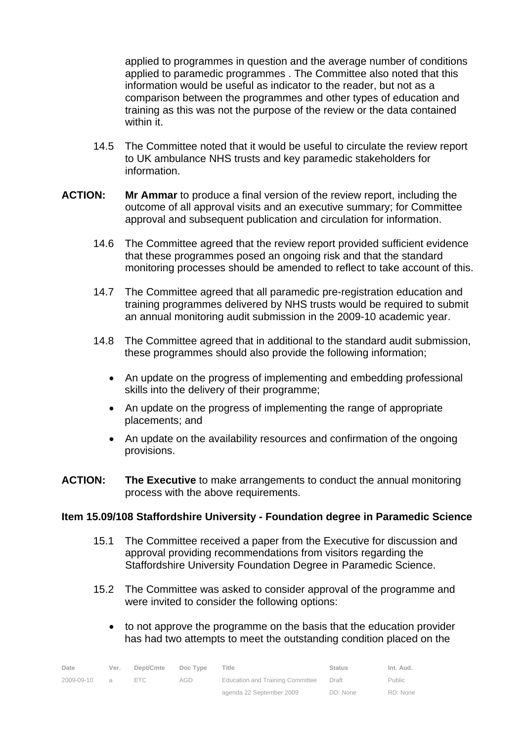applied to programmes in question and the average number of conditions applied to paramedic programmes . The Committee also noted that this information would be useful as indicator to the reader, but not as a comparison between the programmes and other types of education and training as this was not the purpose of the review or the data contained within it.

- 14.5 The Committee noted that it would be useful to circulate the review report to UK ambulance NHS trusts and key paramedic stakeholders for information.
- **ACTION: Mr Ammar** to produce a final version of the review report, including the outcome of all approval visits and an executive summary; for Committee approval and subsequent publication and circulation for information.
	- 14.6 The Committee agreed that the review report provided sufficient evidence that these programmes posed an ongoing risk and that the standard monitoring processes should be amended to reflect to take account of this.
	- 14.7 The Committee agreed that all paramedic pre-registration education and training programmes delivered by NHS trusts would be required to submit an annual monitoring audit submission in the 2009-10 academic year.
	- 14.8 The Committee agreed that in additional to the standard audit submission, these programmes should also provide the following information;
		- An update on the progress of implementing and embedding professional skills into the delivery of their programme;
		- An update on the progress of implementing the range of appropriate placements; and
		- An update on the availability resources and confirmation of the ongoing provisions.
- **ACTION: The Executive** to make arrangements to conduct the annual monitoring process with the above requirements.

#### **Item 15.09/108 Staffordshire University - Foundation degree in Paramedic Science**

- 15.1 The Committee received a paper from the Executive for discussion and approval providing recommendations from visitors regarding the Staffordshire University Foundation Degree in Paramedic Science.
- 15.2 The Committee was asked to consider approval of the programme and were invited to consider the following options:
	- to not approve the programme on the basis that the education provider has had two attempts to meet the outstanding condition placed on the

| Date       | Ver.           | Dept/Cmte  | Doc Type | Title                                   | <b>Status</b> | Int. Aud.     |
|------------|----------------|------------|----------|-----------------------------------------|---------------|---------------|
| 2009-09-10 | $\overline{a}$ | $=$ $\Box$ | AGD      | <b>Education and Training Committee</b> | Draft         | <b>Public</b> |
|            |                |            |          | agenda 22 September 2009                | DD: None      | RD: None      |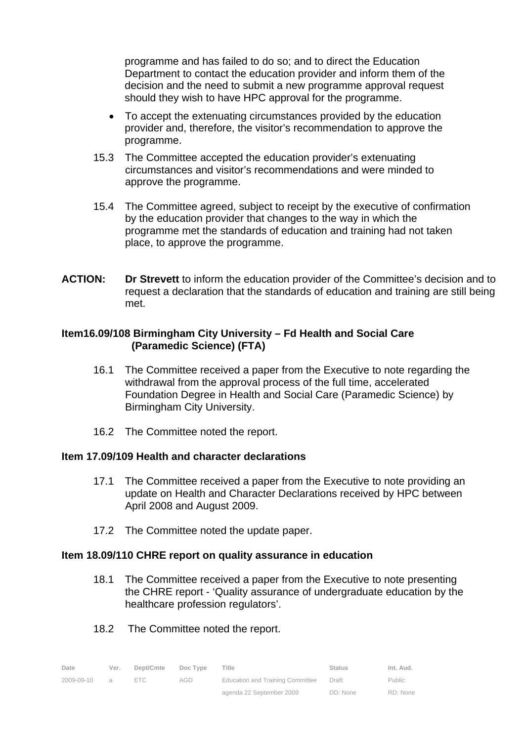programme and has failed to do so; and to direct the Education Department to contact the education provider and inform them of the decision and the need to submit a new programme approval request should they wish to have HPC approval for the programme.

- To accept the extenuating circumstances provided by the education provider and, therefore, the visitor's recommendation to approve the programme.
- 15.3 The Committee accepted the education provider's extenuating circumstances and visitor's recommendations and were minded to approve the programme.
- 15.4 The Committee agreed, subject to receipt by the executive of confirmation by the education provider that changes to the way in which the programme met the standards of education and training had not taken place, to approve the programme.
- **ACTION: Dr Strevett** to inform the education provider of the Committee's decision and to request a declaration that the standards of education and training are still being met.

### **Item16.09/108 Birmingham City University – Fd Health and Social Care (Paramedic Science) (FTA)**

- 16.1 The Committee received a paper from the Executive to note regarding the withdrawal from the approval process of the full time, accelerated Foundation Degree in Health and Social Care (Paramedic Science) by Birmingham City University.
- 16.2 The Committee noted the report.

#### **Item 17.09/109 Health and character declarations**

- 17.1 The Committee received a paper from the Executive to note providing an update on Health and Character Declarations received by HPC between April 2008 and August 2009.
- 17.2 The Committee noted the update paper.

#### **Item 18.09/110 CHRE report on quality assurance in education**

- 18.1 The Committee received a paper from the Executive to note presenting the CHRE report - 'Quality assurance of undergraduate education by the healthcare profession regulators'.
- 18.2 The Committee noted the report.

| Date       | Ver.     | Dept/Cmte | Doc Type | Title                            | <b>Status</b> | Int. Aud. |
|------------|----------|-----------|----------|----------------------------------|---------------|-----------|
| 2009-09-10 | $\alpha$ | FTC.      | AGD      | Education and Training Committee | Draft         | Public    |
|            |          |           |          | agenda 22 September 2009         | DD: None      | RD: None  |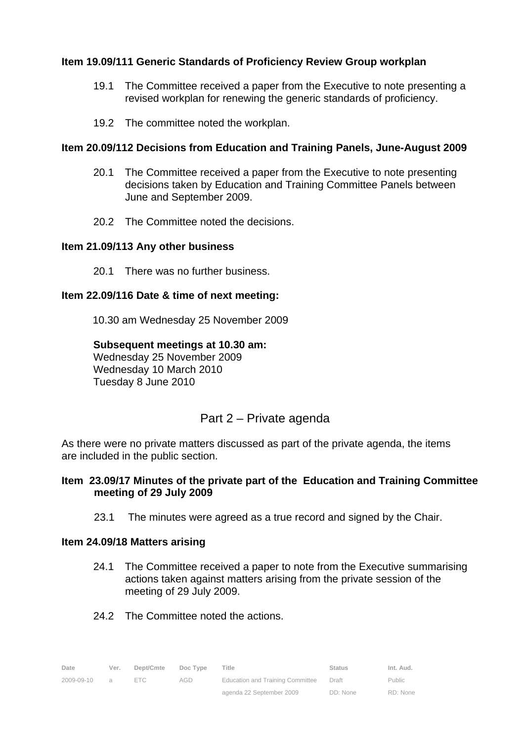#### **Item 19.09/111 Generic Standards of Proficiency Review Group workplan**

- 19.1 The Committee received a paper from the Executive to note presenting a revised workplan for renewing the generic standards of proficiency.
- 19.2 The committee noted the workplan.

### **Item 20.09/112 Decisions from Education and Training Panels, June-August 2009**

- 20.1 The Committee received a paper from the Executive to note presenting decisions taken by Education and Training Committee Panels between June and September 2009.
- 20.2 The Committee noted the decisions.

#### **Item 21.09/113 Any other business**

20.1 There was no further business.

### **Item 22.09/116 Date & time of next meeting:**

10.30 am Wednesday 25 November 2009

#### **Subsequent meetings at 10.30 am:**

 Wednesday 25 November 2009 Wednesday 10 March 2010 Tuesday 8 June 2010

## Part 2 – Private agenda

As there were no private matters discussed as part of the private agenda, the items are included in the public section.

#### **Item 23.09/17 Minutes of the private part of the Education and Training Committee meeting of 29 July 2009**

23.1 The minutes were agreed as a true record and signed by the Chair.

#### **Item 24.09/18 Matters arising**

- 24.1 The Committee received a paper to note from the Executive summarising actions taken against matters arising from the private session of the meeting of 29 July 2009.
- 24.2 The Committee noted the actions.

| Date       | Ver.     | Dept/Cmte | Doc Type | Title                                   | <b>Status</b> | Int. Aud.     |
|------------|----------|-----------|----------|-----------------------------------------|---------------|---------------|
| 2009-09-10 | $\Omega$ | FTC.      | AGD.     | <b>Education and Training Committee</b> | Draft         | <b>Public</b> |
|            |          |           |          | agenda 22 September 2009                | DD: None      | RD: None      |